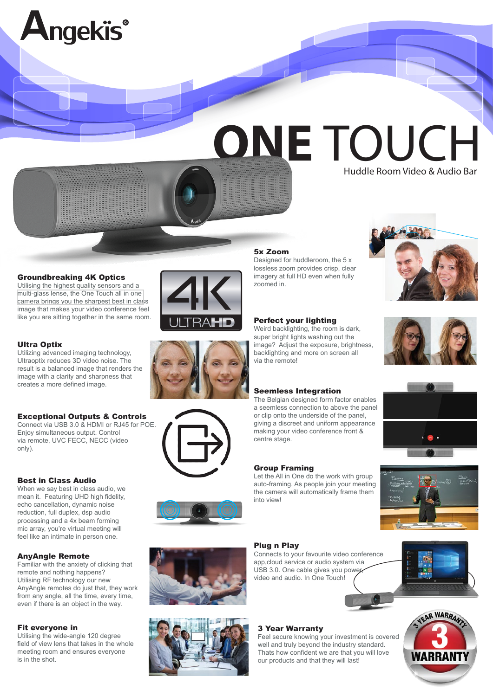

#### Groundbreaking 4K Optics

Utilising the highest quality sensors and a [multi-glass lense, the One Touch](https://www.angekis.com/products/angekis-onetouch-all-in-one-camera.html) all in one camera brings you the sharpest best in class image that makes your video conference feel like you are sitting together in the same room.

# Ultra Optix

Utilizing advanced imaging technology, Ultraoptix reduces 3D video noise. The result is a balanced image that renders the image with a clarity and sharpness that creates a more defined image.

## Exceptional Outputs & Controls

Connect via USB 3.0 & HDMI or RJ45 for POE. Enjoy simultaneous output. Control via remote, UVC FECC, NECC (video only).

#### Best in Class Audio

When we say best in class audio, we mean it. Featuring UHD high fidelity. echo cancellation, dynamic noise reduction, full duplex, dsp audio processing and a 4x beam forming mic array, you're virtual meeting will feel like an intimate in person one.

## AnyAngle Remote

Familiar with the anxiety of clicking that remote and nothing happens? Utilising RF technology our new AnyAngle remotes do just that, they work from any angle, all the time, every time, even if there is an object in the way.

#### Fit everyone in

Utilising the wide-angle 120 degree field of view lens that takes in the whole meeting room and ensures everyone is in the shot.









## 5x Zoom

Designed for huddleroom, the 5 x lossless zoom provides crisp, clear imagery at full HD even when fully zoomed in.

# Perfect your lighting

Weird backlighting, the room is dark, super bright lights washing out the image? Adjust the exposure, brightness, backlighting and more on screen all via the remote!

#### Seemless Integration

The Belgian designed form factor enables a seemless connection to above the panel or clip onto the underside of the panel, giving a discreet and uniform appearance making your video conference front & centre stage.

#### Group Framing

Let the All in One do the work with group auto-framing. As people join your meeting the camera will automatically frame them into view!

#### Plug n Play

Connects to your favourite video conference app,cloud service or audio system via USB 3.0. One cable gives you power video and audio. In One Touch!





# 3 Year Warranty

Feel secure knowing your investment is covered well and truly beyond the industry standard. Thats how confident we are that you will love our products and that they will last!